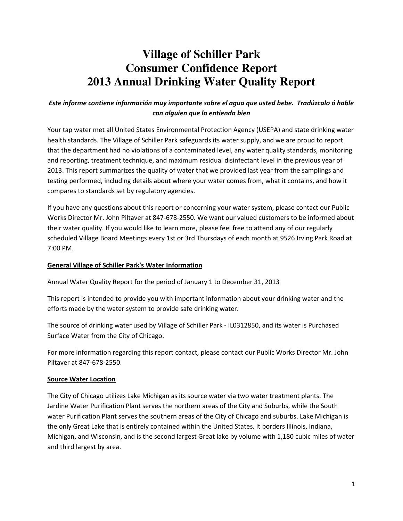# **Village of Schiller Park Consumer Confidence Report 2013 Annual Drinking Water Quality Report**

## Este informe contiene información muy importante sobre el agua que usted bebe. Tradúzcalo ó hable con alguien que lo entienda bien

Your tap water met all United States Environmental Protection Agency (USEPA) and state drinking water health standards. The Village of Schiller Park safeguards its water supply, and we are proud to report that the department had no violations of a contaminated level, any water quality standards, monitoring and reporting, treatment technique, and maximum residual disinfectant level in the previous year of 2013. This report summarizes the quality of water that we provided last year from the samplings and testing performed, including details about where your water comes from, what it contains, and how it compares to standards set by regulatory agencies.

If you have any questions about this report or concerning your water system, please contact our Public Works Director Mr. John Piltaver at 847-678-2550. We want our valued customers to be informed about their water quality. If you would like to learn more, please feel free to attend any of our regularly scheduled Village Board Meetings every 1st or 3rd Thursdays of each month at 9526 Irving Park Road at 7:00 PM.

#### General Village of Schiller Park's Water Information

Annual Water Quality Report for the period of January 1 to December 31, 2013

This report is intended to provide you with important information about your drinking water and the efforts made by the water system to provide safe drinking water.

The source of drinking water used by Village of Schiller Park - IL0312850, and its water is Purchased Surface Water from the City of Chicago.

For more information regarding this report contact, please contact our Public Works Director Mr. John Piltaver at 847-678-2550.

#### Source Water Location

The City of Chicago utilizes Lake Michigan as its source water via two water treatment plants. The Jardine Water Purification Plant serves the northern areas of the City and Suburbs, while the South water Purification Plant serves the southern areas of the City of Chicago and suburbs. Lake Michigan is the only Great Lake that is entirely contained within the United States. It borders Illinois, Indiana, Michigan, and Wisconsin, and is the second largest Great lake by volume with 1,180 cubic miles of water and third largest by area.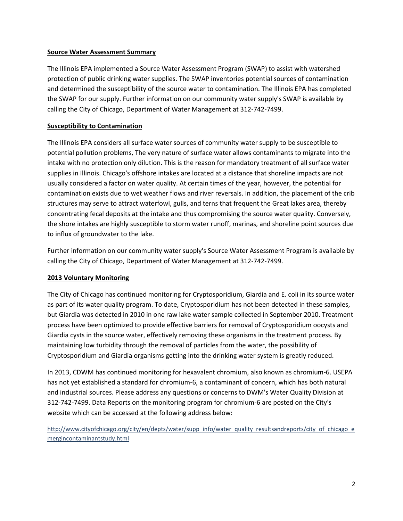#### Source Water Assessment Summary

The Illinois EPA implemented a Source Water Assessment Program (SWAP) to assist with watershed protection of public drinking water supplies. The SWAP inventories potential sources of contamination and determined the susceptibility of the source water to contamination. The Illinois EPA has completed the SWAP for our supply. Further information on our community water supply's SWAP is available by calling the City of Chicago, Department of Water Management at 312-742-7499.

## Susceptibility to Contamination

The Illinois EPA considers all surface water sources of community water supply to be susceptible to potential pollution problems, The very nature of surface water allows contaminants to migrate into the intake with no protection only dilution. This is the reason for mandatory treatment of all surface water supplies in Illinois. Chicago's offshore intakes are located at a distance that shoreline impacts are not usually considered a factor on water quality. At certain times of the year, however, the potential for contamination exists due to wet weather flows and river reversals. In addition, the placement of the crib structures may serve to attract waterfowl, gulls, and terns that frequent the Great lakes area, thereby concentrating fecal deposits at the intake and thus compromising the source water quality. Conversely, the shore intakes are highly susceptible to storm water runoff, marinas, and shoreline point sources due to influx of groundwater to the lake.

Further information on our community water supply's Source Water Assessment Program is available by calling the City of Chicago, Department of Water Management at 312-742-7499.

### 2013 Voluntary Monitoring

The City of Chicago has continued monitoring for Cryptosporidium, Giardia and E. coli in its source water as part of its water quality program. To date, Cryptosporidium has not been detected in these samples, but Giardia was detected in 2010 in one raw lake water sample collected in September 2010. Treatment process have been optimized to provide effective barriers for removal of Cryptosporidium oocysts and Giardia cysts in the source water, effectively removing these organisms in the treatment process. By maintaining low turbidity through the removal of particles from the water, the possibility of Cryptosporidium and Giardia organisms getting into the drinking water system is greatly reduced.

In 2013, CDWM has continued monitoring for hexavalent chromium, also known as chromium-6. USEPA has not yet established a standard for chromium-6, a contaminant of concern, which has both natural and industrial sources. Please address any questions or concerns to DWM's Water Quality Division at 312-742-7499. Data Reports on the monitoring program for chromium-6 are posted on the City's website which can be accessed at the following address below:

http://www.cityofchicago.org/city/en/depts/water/supp\_info/water\_quality\_resultsandreports/city\_of\_chicago\_e mergincontaminantstudy.html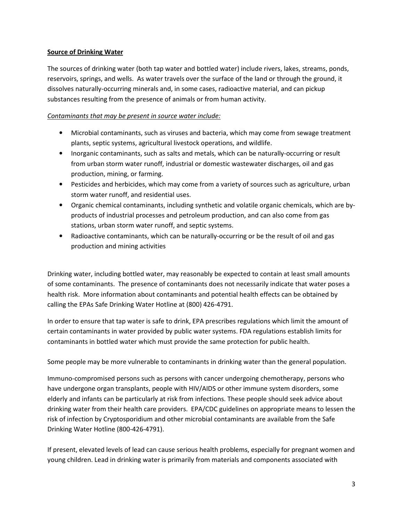#### Source of Drinking Water

The sources of drinking water (both tap water and bottled water) include rivers, lakes, streams, ponds, reservoirs, springs, and wells. As water travels over the surface of the land or through the ground, it dissolves naturally-occurring minerals and, in some cases, radioactive material, and can pickup substances resulting from the presence of animals or from human activity.

#### Contaminants that may be present in source water include:

- Microbial contaminants, such as viruses and bacteria, which may come from sewage treatment plants, septic systems, agricultural livestock operations, and wildlife.
- Inorganic contaminants, such as salts and metals, which can be naturally-occurring or result from urban storm water runoff, industrial or domestic wastewater discharges, oil and gas production, mining, or farming.
- Pesticides and herbicides, which may come from a variety of sources such as agriculture, urban storm water runoff, and residential uses.
- Organic chemical contaminants, including synthetic and volatile organic chemicals, which are byproducts of industrial processes and petroleum production, and can also come from gas stations, urban storm water runoff, and septic systems.
- Radioactive contaminants, which can be naturally-occurring or be the result of oil and gas production and mining activities

Drinking water, including bottled water, may reasonably be expected to contain at least small amounts of some contaminants. The presence of contaminants does not necessarily indicate that water poses a health risk. More information about contaminants and potential health effects can be obtained by calling the EPAs Safe Drinking Water Hotline at (800) 426-4791.

In order to ensure that tap water is safe to drink, EPA prescribes regulations which limit the amount of certain contaminants in water provided by public water systems. FDA regulations establish limits for contaminants in bottled water which must provide the same protection for public health.

Some people may be more vulnerable to contaminants in drinking water than the general population.

Immuno-compromised persons such as persons with cancer undergoing chemotherapy, persons who have undergone organ transplants, people with HIV/AIDS or other immune system disorders, some elderly and infants can be particularly at risk from infections. These people should seek advice about drinking water from their health care providers. EPA/CDC guidelines on appropriate means to lessen the risk of infection by Cryptosporidium and other microbial contaminants are available from the Safe Drinking Water Hotline (800-426-4791).

If present, elevated levels of lead can cause serious health problems, especially for pregnant women and young children. Lead in drinking water is primarily from materials and components associated with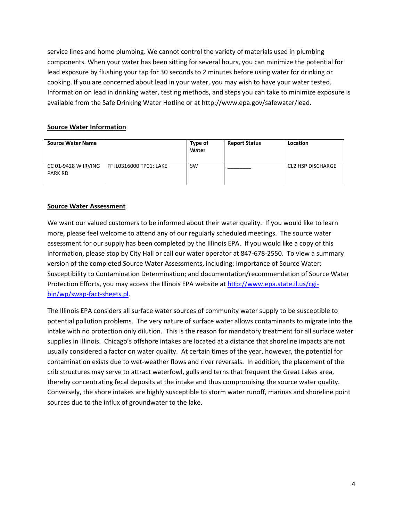service lines and home plumbing. We cannot control the variety of materials used in plumbing components. When your water has been sitting for several hours, you can minimize the potential for lead exposure by flushing your tap for 30 seconds to 2 minutes before using water for drinking or cooking. If you are concerned about lead in your water, you may wish to have your water tested. Information on lead in drinking water, testing methods, and steps you can take to minimize exposure is available from the Safe Drinking Water Hotline or at http://www.epa.gov/safewater/lead.

## Source Water Information

| <b>Source Water Name</b>              |                         | Type of<br>Water | <b>Report Status</b> | Location          |
|---------------------------------------|-------------------------|------------------|----------------------|-------------------|
| CC 01-9428 W IRVING<br><b>PARK RD</b> | FF IL0316000 TP01: LAKE | <b>SW</b>        |                      | CL2 HSP DISCHARGE |

## Source Water Assessment

We want our valued customers to be informed about their water quality. If you would like to learn more, please feel welcome to attend any of our regularly scheduled meetings. The source water assessment for our supply has been completed by the Illinois EPA. If you would like a copy of this information, please stop by City Hall or call our water operator at 847-678-2550. To view a summary version of the completed Source Water Assessments, including: Importance of Source Water; Susceptibility to Contamination Determination; and documentation/recommendation of Source Water Protection Efforts, you may access the Illinois EPA website at http://www.epa.state.il.us/cgibin/wp/swap-fact-sheets.pl.

The Illinois EPA considers all surface water sources of community water supply to be susceptible to potential pollution problems. The very nature of surface water allows contaminants to migrate into the intake with no protection only dilution. This is the reason for mandatory treatment for all surface water supplies in Illinois. Chicago's offshore intakes are located at a distance that shoreline impacts are not usually considered a factor on water quality. At certain times of the year, however, the potential for contamination exists due to wet-weather flows and river reversals. In addition, the placement of the crib structures may serve to attract waterfowl, gulls and terns that frequent the Great Lakes area, thereby concentrating fecal deposits at the intake and thus compromising the source water quality. Conversely, the shore intakes are highly susceptible to storm water runoff, marinas and shoreline point sources due to the influx of groundwater to the lake.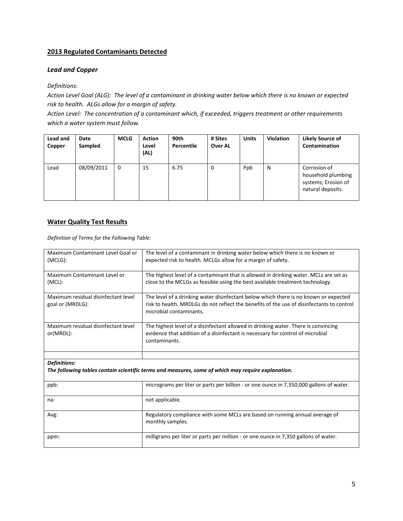#### 2013 Regulated Contaminants Detected

#### Lead and Copper

#### Definitions:

Action Level Goal (ALG): The level of a contaminant in drinking water below which there is no known or expected risk to health. ALGs allow for a margin of safety.

Action Level: The concentration of a contaminant which, if exceeded, triggers treatment or other requirements which a water system must follow.

| <b>Lead and</b><br>Copper | Date<br>Sampled | MCLG        | <b>Action</b><br>Level<br>(AL) | 90th<br>Percentile | # Sites<br>Over AL | <b>Units</b> | <b>Violation</b> | <b>Likely Source of</b><br>Contamination                                       |
|---------------------------|-----------------|-------------|--------------------------------|--------------------|--------------------|--------------|------------------|--------------------------------------------------------------------------------|
| Lead                      | 08/09/2011      | $\mathbf 0$ | 15                             | 6.75               | $\mathbf 0$        | Ppb          | N                | Corrosion of<br>household plumbing<br>systems; Erosion of<br>natural deposits. |

#### Water Quality Test Results

Definition of Terms for the Following Table:

| Maximum Contaminant Level Goal or<br>(MCLG):            | The level of a contaminant in drinking water below which there is no known or<br>expected risk to health. MCLGs allow for a margin of safety.                                                                |
|---------------------------------------------------------|--------------------------------------------------------------------------------------------------------------------------------------------------------------------------------------------------------------|
| Maximum Contaminant Level or<br>$(MCL)$ :               | The highest level of a contaminant that is allowed in drinking water. MCLs are set as<br>close to the MCLGs as feasible using the best available treatment technology.                                       |
| Maximum residual disinfectant level<br>goal or (MRDLG): | The level of a drinking water disinfectant below which there is no known or expected<br>risk to health. MRDLGs do not reflect the benefits of the use of disinfectants to control<br>microbial contaminants. |
| Maximum residual disinfectant level<br>or(MRDL):        | The highest level of a disinfectant allowed in drinking water. There is convincing<br>evidence that addition of a disinfectant is necessary for control of microbial<br>contaminants.                        |
|                                                         |                                                                                                                                                                                                              |
| <b>Definitions:</b>                                     | The following tables contain scientific terms and measures, some of which may require explanation.                                                                                                           |
| ppb:                                                    | micrograms per liter or parts per billion - or one ounce in 7,350,000 gallons of water.                                                                                                                      |
| na:                                                     | not applicable.                                                                                                                                                                                              |
| Avg:                                                    | Regulatory compliance with some MCLs are based on running annual average of<br>monthly samples.                                                                                                              |
| ppm:                                                    | milligrams per liter or parts per million - or one ounce in 7,350 gallons of water.                                                                                                                          |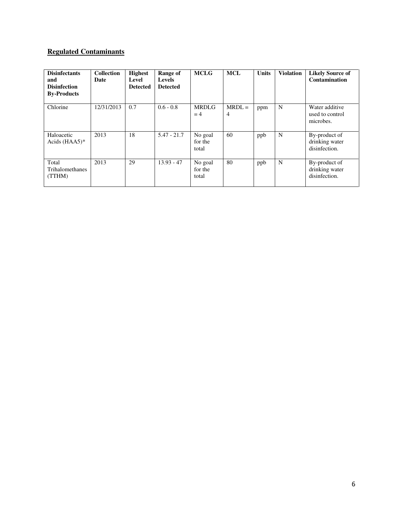## **Regulated Contaminants**

| <b>Disinfectants</b><br>and<br><b>Disinfection</b><br><b>By-Products</b> | <b>Collection</b><br>Date | <b>Highest</b><br>Level<br><b>Detected</b> | Range of<br><b>Levels</b><br><b>Detected</b> | <b>MCLG</b>                 | <b>MCL</b>    | <b>Units</b> | <b>Violation</b> | <b>Likely Source of</b><br><b>Contamination</b>  |
|--------------------------------------------------------------------------|---------------------------|--------------------------------------------|----------------------------------------------|-----------------------------|---------------|--------------|------------------|--------------------------------------------------|
| Chlorine                                                                 | 12/31/2013                | 0.7                                        | $0.6 - 0.8$                                  | <b>MRDLG</b><br>$=4$        | $MRDL =$<br>4 | ppm          | N                | Water additive<br>used to control<br>microbes.   |
| Haloacetic<br>Acids $(HAA5)^*$                                           | 2013                      | 18                                         | $5.47 - 21.7$                                | No goal<br>for the<br>total | 60            | ppb          | N                | By-product of<br>drinking water<br>disinfection. |
| Total<br><b>Trihalomethanes</b><br>(TTHM)                                | 2013                      | 29                                         | $13.93 - 47$                                 | No goal<br>for the<br>total | 80            | ppb          | N                | By-product of<br>drinking water<br>disinfection. |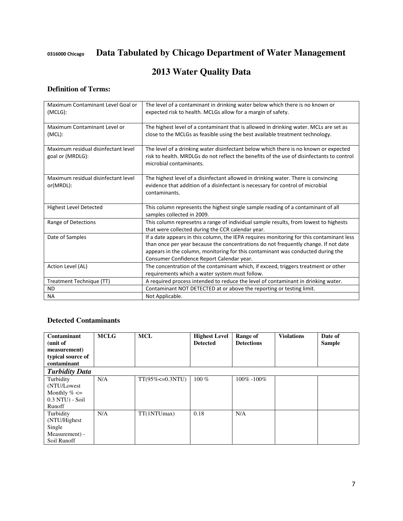0316000 Chicago **Data Tabulated by Chicago Department of Water Management** 

## **2013 Water Quality Data**

## **Definition of Terms:**

| Maximum Contaminant Level Goal or<br>(MCLG):            | The level of a contaminant in drinking water below which there is no known or<br>expected risk to health. MCLGs allow for a margin of safety.                                                                                                                                                                   |
|---------------------------------------------------------|-----------------------------------------------------------------------------------------------------------------------------------------------------------------------------------------------------------------------------------------------------------------------------------------------------------------|
| Maximum Contaminant Level or<br>$(MCL)$ :               | The highest level of a contaminant that is allowed in drinking water. MCLs are set as<br>close to the MCLGs as feasible using the best available treatment technology.                                                                                                                                          |
| Maximum residual disinfectant level<br>goal or (MRDLG): | The level of a drinking water disinfectant below which there is no known or expected<br>risk to health. MRDLGs do not reflect the benefits of the use of disinfectants to control<br>microbial contaminants.                                                                                                    |
| Maximum residual disinfectant level<br>or(MRDL):        | The highest level of a disinfectant allowed in drinking water. There is convincing<br>evidence that addition of a disinfectant is necessary for control of microbial<br>contaminants.                                                                                                                           |
| <b>Highest Level Detected</b>                           | This column represents the highest single sample reading of a contaminant of all<br>samples collected in 2009.                                                                                                                                                                                                  |
| Range of Detections                                     | This column represetns a range of individual sample results, from lowest to highests<br>that were collected during the CCR calendar year.                                                                                                                                                                       |
| Date of Samples                                         | If a date appears in this column, the IEPA requires monitoring for this contaminant less<br>than once per year because the concentrations do not frequently change. If not date<br>appears in the column, monitoring for this contaminant was conducted during the<br>Consumer Confidence Report Calendar year. |
| Action Level (AL)                                       | The concentration of the contaminant which, if exceed, triggers treatment or other<br>requirements which a water system must follow.                                                                                                                                                                            |
| Treatment Technique (TT)                                | A required process intended to reduce the level of contaminant in drinking water.                                                                                                                                                                                                                               |
| <b>ND</b>                                               | Contaminant NOT DETECTED at or above the reporting or testing limit.                                                                                                                                                                                                                                            |
| <b>NA</b>                                               | Not Applicable.                                                                                                                                                                                                                                                                                                 |

#### **Detected Contaminants**

| Contaminant<br>(unit of<br>measurement)<br>typical source of                 | <b>MCLG</b> | <b>MCL</b>            | <b>Highest Level</b><br><b>Detected</b> | Range of<br><b>Detections</b> | <b>Violations</b> | Date of<br><b>Sample</b> |
|------------------------------------------------------------------------------|-------------|-----------------------|-----------------------------------------|-------------------------------|-------------------|--------------------------|
| contaminant                                                                  |             |                       |                                         |                               |                   |                          |
| <b>Turbidity Data</b>                                                        |             |                       |                                         |                               |                   |                          |
| Turbidity<br>(NTU/Lowest)<br>Monthly $% \leq$<br>$0.3$ NTU) - Soil<br>Runoff | N/A         | $TT(95\% < = 0.3NTU)$ | $100\%$                                 | 100% -100%                    |                   |                          |
| Turbidity<br>(NTU/Highest)<br>Single<br>Measurement) -<br>Soil Runoff        | N/A         | TT(1NTUmax)           | 0.18                                    | N/A                           |                   |                          |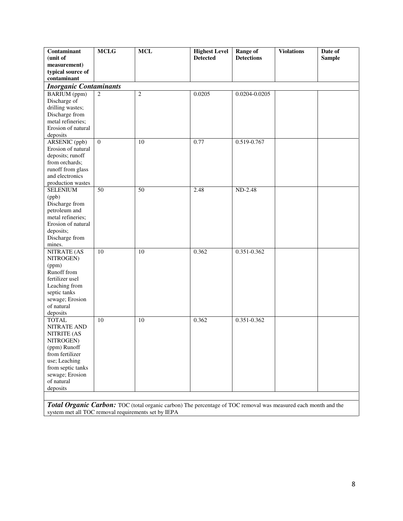| Contaminant                     | <b>MCLG</b>    | $\bf MCL$                                                                                                      | <b>Highest Level</b> | Range of                 | <b>Violations</b> | Date of       |
|---------------------------------|----------------|----------------------------------------------------------------------------------------------------------------|----------------------|--------------------------|-------------------|---------------|
| (unit of                        |                |                                                                                                                | <b>Detected</b>      | <b>Detections</b>        |                   | <b>Sample</b> |
| measurement)                    |                |                                                                                                                |                      |                          |                   |               |
| typical source of               |                |                                                                                                                |                      |                          |                   |               |
| contaminant                     |                |                                                                                                                |                      |                          |                   |               |
| <b>Inorganic Contaminants</b>   |                |                                                                                                                |                      |                          |                   |               |
| <b>BARIUM</b> (ppm)             | 2              | $\overline{2}$                                                                                                 | 0.0205               | 0.0204-0.0205            |                   |               |
| Discharge of                    |                |                                                                                                                |                      |                          |                   |               |
| drilling wastes;                |                |                                                                                                                |                      |                          |                   |               |
| Discharge from                  |                |                                                                                                                |                      |                          |                   |               |
| metal refineries;               |                |                                                                                                                |                      |                          |                   |               |
| Erosion of natural              |                |                                                                                                                |                      |                          |                   |               |
| deposits                        |                |                                                                                                                |                      |                          |                   |               |
| <b>ARSENIC</b> (ppb)            | $\overline{0}$ | 10                                                                                                             | 0.77                 | 0.519-0.767              |                   |               |
| Erosion of natural              |                |                                                                                                                |                      |                          |                   |               |
| deposits; runoff                |                |                                                                                                                |                      |                          |                   |               |
| from orchards;                  |                |                                                                                                                |                      |                          |                   |               |
| runoff from glass               |                |                                                                                                                |                      |                          |                   |               |
| and electronics                 |                |                                                                                                                |                      |                          |                   |               |
| production wastes               |                |                                                                                                                |                      |                          |                   |               |
| <b>SELENIUM</b>                 | 50             | 50                                                                                                             | 2.48                 | ND-2.48                  |                   |               |
| (ppb)                           |                |                                                                                                                |                      |                          |                   |               |
| Discharge from<br>petroleum and |                |                                                                                                                |                      |                          |                   |               |
| metal refineries;               |                |                                                                                                                |                      |                          |                   |               |
| Erosion of natural              |                |                                                                                                                |                      |                          |                   |               |
| deposits;                       |                |                                                                                                                |                      |                          |                   |               |
| Discharge from                  |                |                                                                                                                |                      |                          |                   |               |
| mines.                          |                |                                                                                                                |                      |                          |                   |               |
| NITRATE (AS                     | 10             | 10                                                                                                             | 0.362                | $0.\overline{351-0.362}$ |                   |               |
| NITROGEN)                       |                |                                                                                                                |                      |                          |                   |               |
| (ppm)                           |                |                                                                                                                |                      |                          |                   |               |
| Runoff from                     |                |                                                                                                                |                      |                          |                   |               |
| fertilizer usel                 |                |                                                                                                                |                      |                          |                   |               |
| Leaching from                   |                |                                                                                                                |                      |                          |                   |               |
| septic tanks                    |                |                                                                                                                |                      |                          |                   |               |
| sewage; Erosion                 |                |                                                                                                                |                      |                          |                   |               |
| of natural                      |                |                                                                                                                |                      |                          |                   |               |
| deposits                        |                |                                                                                                                |                      |                          |                   |               |
| <b>TOTAL</b>                    | 10             | 10                                                                                                             | 0.362                | 0.351-0.362              |                   |               |
| NITRATE AND                     |                |                                                                                                                |                      |                          |                   |               |
| <b>NITRITE (AS</b>              |                |                                                                                                                |                      |                          |                   |               |
| NITROGEN)                       |                |                                                                                                                |                      |                          |                   |               |
| (ppm) Runoff                    |                |                                                                                                                |                      |                          |                   |               |
| from fertilizer                 |                |                                                                                                                |                      |                          |                   |               |
| use; Leaching                   |                |                                                                                                                |                      |                          |                   |               |
| from septic tanks               |                |                                                                                                                |                      |                          |                   |               |
| sewage; Erosion                 |                |                                                                                                                |                      |                          |                   |               |
| of natural                      |                |                                                                                                                |                      |                          |                   |               |
| deposits                        |                |                                                                                                                |                      |                          |                   |               |
|                                 |                |                                                                                                                |                      |                          |                   |               |
|                                 |                | Total Organic Carbon: TOC (total organic cerbon) The persention of TOC removal was measured each month and the |                      |                          |                   |               |

*Total Organic Carbon:* TOC (total organic carbon) The percentage of TOC removal was measured each month and the system met all TOC removal requirements set by IEPA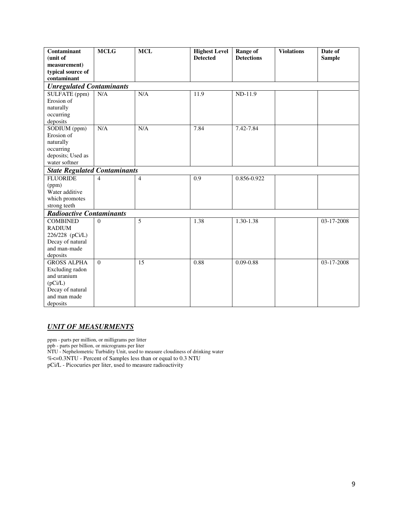| Contaminant                         | <b>MCLG</b>    | <b>MCL</b>     | <b>Highest Level</b> | <b>Range of</b>   | <b>Violations</b> | Date of       |
|-------------------------------------|----------------|----------------|----------------------|-------------------|-------------------|---------------|
| (unit of                            |                |                | <b>Detected</b>      | <b>Detections</b> |                   | <b>Sample</b> |
| measurement)                        |                |                |                      |                   |                   |               |
| typical source of                   |                |                |                      |                   |                   |               |
| contaminant                         |                |                |                      |                   |                   |               |
| <b>Unregulated Contaminants</b>     |                |                |                      |                   |                   |               |
| SULFATE (ppm)                       | N/A            | N/A            | 11.9                 | $ND-11.9$         |                   |               |
| Erosion of                          |                |                |                      |                   |                   |               |
| naturally                           |                |                |                      |                   |                   |               |
| occurring                           |                |                |                      |                   |                   |               |
| deposits                            |                |                |                      |                   |                   |               |
| SODIUM (ppm)                        | N/A            | N/A            | 7.84                 | 7.42-7.84         |                   |               |
| Erosion of                          |                |                |                      |                   |                   |               |
| naturally                           |                |                |                      |                   |                   |               |
| occurring                           |                |                |                      |                   |                   |               |
| deposits; Used as                   |                |                |                      |                   |                   |               |
| water softner                       |                |                |                      |                   |                   |               |
| <b>State Regulated Contaminants</b> |                |                |                      |                   |                   |               |
| <b>FLUORIDE</b>                     | $\overline{4}$ | $\overline{4}$ | 0.9                  | 0.856-0.922       |                   |               |
| (ppm)                               |                |                |                      |                   |                   |               |
| Water additive                      |                |                |                      |                   |                   |               |
| which promotes                      |                |                |                      |                   |                   |               |
| strong teeth                        |                |                |                      |                   |                   |               |
| <b>Radioactive Contaminants</b>     |                |                |                      |                   |                   |               |
| <b>COMBINED</b>                     | $\Omega$       | 5              | 1.38                 | 1.30-1.38         |                   | 03-17-2008    |
| <b>RADIUM</b>                       |                |                |                      |                   |                   |               |
| 226/228 (pCi/L)                     |                |                |                      |                   |                   |               |
| Decay of natural                    |                |                |                      |                   |                   |               |
| and man-made                        |                |                |                      |                   |                   |               |
| deposits                            |                |                |                      |                   |                   |               |
| <b>GROSS ALPHA</b>                  | $\Omega$       | 15             | 0.88                 | $0.09 - 0.88$     |                   | 03-17-2008    |
| Excluding radon                     |                |                |                      |                   |                   |               |
| and uranium                         |                |                |                      |                   |                   |               |
| (pCi/L)                             |                |                |                      |                   |                   |               |
| Decay of natural                    |                |                |                      |                   |                   |               |
| and man made                        |                |                |                      |                   |                   |               |
| deposits                            |                |                |                      |                   |                   |               |

## *UNIT OF MEASURMENTS*

ppm - parts per million, or milligrams per litter

ppb - parts per billion, or micrograms per liter

NTU - Nephelometric Turbidity Unit, used to measure cloudiness of drinking water

%<=0.3NTU - Percent of Samples less than or equal to 0.3 NTU

pCi/L - Picocuries per liter, used to measure radioactivity